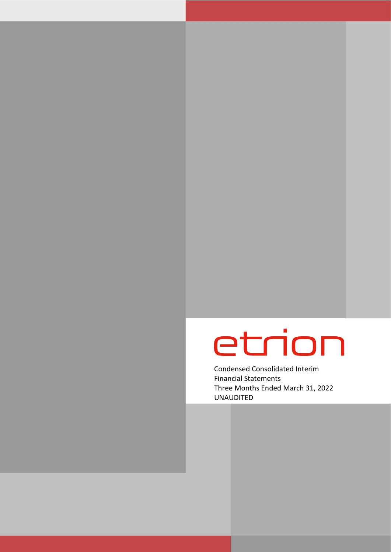# etrion

Condensed Consolidated Interim Financial Statements Three Months Ended March 31, 2022 UNAUDITED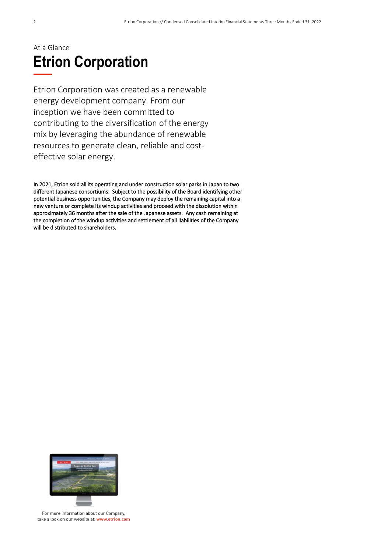### At a Glance **Etrion Corporation**

Etrion Corporation was created as a renewable energy development company. From our inception we have been committed to contributing to the diversification of the energy mix by leveraging the abundance of renewable resources to generate clean, reliable and costeffective solar energy.

In 2021, Etrion sold all its operating and under construction solar parks in Japan to two different Japanese consortiums. Subject to the possibility of the Board identifying other potential business opportunities, the Company may deploy the remaining capital into a new venture or complete its windup activities and proceed with the dissolution within approximately 36 months after the sale of the Japanese assets. Any cash remaining at the completion of the windup activities and settlement of all liabilities of the Company will be distributed to shareholders.



For more information about our Company, take a look on our website at: www.etrion.com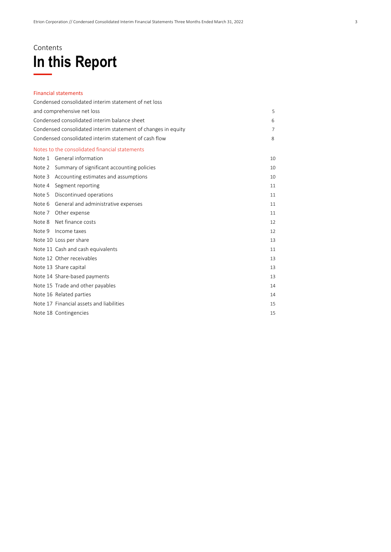### Contents **In this Report**

#### Financial statements

| Condensed consolidated interim statement of net loss          |                |
|---------------------------------------------------------------|----------------|
| and comprehensive net loss                                    | 5              |
| Condensed consolidated interim balance sheet                  | 6              |
| Condensed consolidated interim statement of changes in equity | $\overline{7}$ |
| Condensed consolidated interim statement of cash flow         | 8              |
| Notes to the consolidated financial statements                |                |
| <b>General information</b><br>Note 1                          | 10             |
| Note 2 Summary of significant accounting policies             | 10             |
| Accounting estimates and assumptions<br>Note 3                | 10             |
| Segment reporting<br>Note 4                                   | 11             |
| Discontinued operations<br>Note 5                             | 11             |
| General and administrative expenses<br>Note 6                 | 11             |
| Other expense<br>Note 7                                       | 11             |
| Net finance costs<br>Note 8                                   | 12             |
| Income taxes<br>Note 9                                        | 12             |
| Note 10 Loss per share                                        | 13             |
| Note 11 Cash and cash equivalents                             | 11             |
| Note 12 Other receivables                                     | 13             |
| Note 13 Share capital                                         | 13             |
| Note 14 Share-based payments                                  | 13             |
| Note 15 Trade and other payables                              | 14             |
| Note 16 Related parties                                       | 14             |
| Note 17 Financial assets and liabilities                      | 15             |
| Note 18 Contingencies                                         | 15             |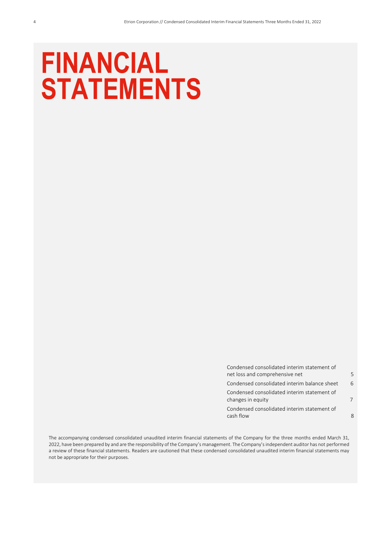## **FINANCIAL STATEMENTS**

| ĥ |
|---|
|   |
|   |
|   |

The accompanying condensed consolidated unaudited interim financial statements of the Company for the three months ended March 31, 2022, have been prepared by and are the responsibility of the Company's management. The Company's independent auditor has not performed a review of these financial statements. Readers are cautioned that these condensed consolidated unaudited interim financial statements may not be appropriate for their purposes.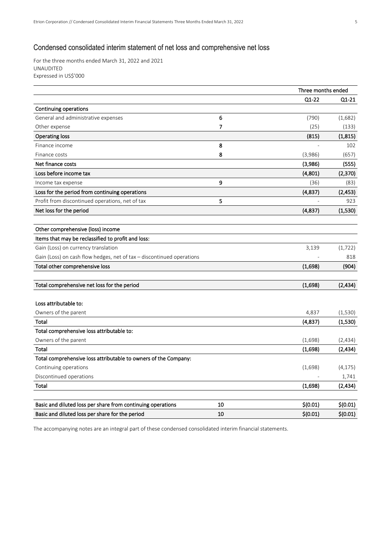#### Condensed consolidated interim statement of net loss and comprehensive net loss

For the three months ended March 31, 2022 and 2021 UNAUDITED Expressed in US\$'000

|                                                                       |    | Three months ended |          |
|-----------------------------------------------------------------------|----|--------------------|----------|
|                                                                       |    | $Q1 - 22$          | $Q1-21$  |
| Continuing operations                                                 |    |                    |          |
| General and administrative expenses                                   | 6  | (790)              | (1,682)  |
| Other expense                                                         | 7  | (25)               | (133)    |
| <b>Operating loss</b>                                                 |    | (815)              | (1, 815) |
| Finance income                                                        | 8  |                    | 102      |
| Finance costs                                                         | 8  | (3,986)            | (657)    |
| Net finance costs                                                     |    | (3,986)            | (555)    |
| Loss before income tax                                                |    | (4,801)            | (2,370)  |
| Income tax expense                                                    | 9  | (36)               | (83)     |
| Loss for the period from continuing operations                        |    | (4,837)            | (2, 453) |
| Profit from discontinued operations, net of tax                       | 5  |                    | 923      |
| Net loss for the period                                               |    | (4,837)            | (1,530)  |
| Other comprehensive (loss) income                                     |    |                    |          |
| Items that may be reclassified to profit and loss:                    |    |                    |          |
| Gain (Loss) on currency translation                                   |    | 3,139              | (1, 722) |
| Gain (Loss) on cash flow hedges, net of tax - discontinued operations |    |                    | 818      |
| Total other comprehensive loss                                        |    | (1,698)            | (904)    |
| Total comprehensive net loss for the period                           |    | (1,698)            | (2, 434) |
| Loss attributable to:                                                 |    |                    |          |
| Owners of the parent                                                  |    | 4,837              | (1, 530) |
| Total                                                                 |    | (4,837)            | (1,530)  |
| Total comprehensive loss attributable to:                             |    |                    |          |
| Owners of the parent                                                  |    | (1,698)            | (2,434)  |
| <b>Total</b>                                                          |    | (1,698)            | (2, 434) |
| Total comprehensive loss attributable to owners of the Company:       |    |                    |          |
| Continuing operations                                                 |    | (1,698)            | (4, 175) |
| Discontinued operations                                               |    |                    | 1,741    |
| <b>Total</b>                                                          |    | (1,698)            | (2, 434) |
| Basic and diluted loss per share from continuing operations           | 10 | \$(0.01)           | \$(0.01) |
| Basic and diluted loss per share for the period                       | 10 | \$(0.01)           | \$(0.01) |
|                                                                       |    |                    |          |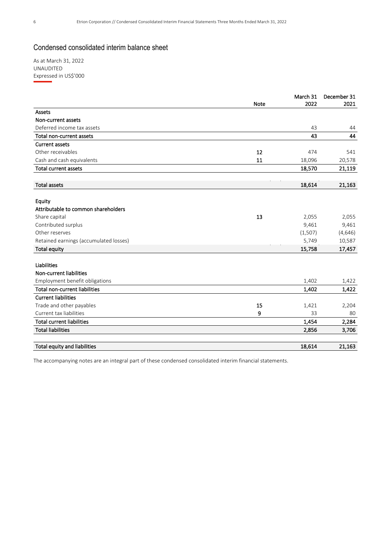#### Condensed consolidated interim balance sheet

As at March 31, 2022 UNAUDITED Expressed in US\$'000

|                                        |             | March 31 | December 31 |
|----------------------------------------|-------------|----------|-------------|
|                                        | <b>Note</b> | 2022     | 2021        |
| Assets                                 |             |          |             |
| Non-current assets                     |             |          |             |
| Deferred income tax assets             |             | 43       | 44          |
| Total non-current assets               |             | 43       | 44          |
| <b>Current assets</b>                  |             |          |             |
| Other receivables                      | 12          | 474      | 541         |
| Cash and cash equivalents              | 11          | 18,096   | 20,578      |
| <b>Total current assets</b>            |             | 18,570   | 21,119      |
| <b>Total assets</b>                    |             | 18,614   | 21,163      |
|                                        |             |          |             |
| Equity                                 |             |          |             |
| Attributable to common shareholders    |             |          |             |
| Share capital                          | 13          | 2,055    | 2,055       |
| Contributed surplus                    |             | 9,461    | 9,461       |
| Other reserves                         |             | (1,507)  | (4,646)     |
| Retained earnings (accumulated losses) |             | 5,749    | 10,587      |
| <b>Total equity</b>                    |             | 15,758   | 17,457      |
| <b>Liabilities</b>                     |             |          |             |
| Non-current liabilities                |             |          |             |
| Employment benefit obligations         |             | 1,402    | 1,422       |
| <b>Total non-current liabilities</b>   |             | 1,402    | 1,422       |
| <b>Current liabilities</b>             |             |          |             |
| Trade and other payables               | 15          | 1,421    | 2,204       |
| Current tax liabilities                | 9           | 33       | 80          |
| <b>Total current liabilities</b>       |             | 1,454    | 2,284       |
| <b>Total liabilities</b>               |             | 2,856    | 3,706       |
| Total equity and liabilities           |             | 18,614   | 21,163      |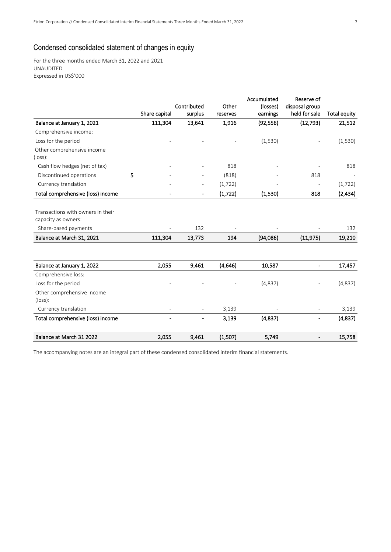#### Condensed consolidated statement of changes in equity

For the three months ended March 31, 2022 and 2021 UNAUDITED Expressed in US\$'000

|                                                          |                          | Contributed              | Other    | Accumulated<br>(losses) | Reserve of<br>disposal group |                     |
|----------------------------------------------------------|--------------------------|--------------------------|----------|-------------------------|------------------------------|---------------------|
|                                                          | Share capital            | surplus                  | reserves | earnings                | held for sale                | <b>Total equity</b> |
| Balance at January 1, 2021                               | 111,304                  | 13,641                   | 1,916    | (92, 556)               | (12, 793)                    | 21,512              |
| Comprehensive income:                                    |                          |                          |          |                         |                              |                     |
| Loss for the period                                      |                          |                          |          | (1,530)                 |                              | (1,530)             |
| Other comprehensive income<br>$(\text{loss})$ :          |                          |                          |          |                         |                              |                     |
| Cash flow hedges (net of tax)                            |                          |                          | 818      |                         |                              | 818                 |
| Discontinued operations                                  | 5                        |                          | (818)    |                         | 818                          |                     |
| Currency translation                                     |                          | $\overline{\phantom{0}}$ | (1, 722) |                         |                              | (1, 722)            |
| Total comprehensive (loss) income                        | $\overline{\phantom{0}}$ | $\overline{\phantom{0}}$ | (1, 722) | (1,530)                 | 818                          | (2, 434)            |
|                                                          |                          |                          |          |                         |                              |                     |
| Transactions with owners in their<br>capacity as owners: |                          |                          |          |                         |                              |                     |
| Share-based payments                                     |                          | 132                      |          |                         |                              | 132                 |
| Balance at March 31, 2021                                | 111,304                  | 13,773                   | 194      | (94,086)                | (11, 975)                    | 19,210              |
|                                                          |                          |                          |          |                         |                              |                     |
| Balance at January 1, 2022                               | 2,055                    | 9,461                    | (4,646)  | 10,587                  |                              | 17,457              |
| Comprehensive loss:                                      |                          |                          |          |                         |                              |                     |
| Loss for the period                                      |                          |                          |          | (4,837)                 |                              | (4,837)             |
| Other comprehensive income<br>$(\text{loss})$ :          |                          |                          |          |                         |                              |                     |
| Currency translation                                     |                          | $\overline{\phantom{a}}$ | 3,139    |                         | $\overline{\phantom{a}}$     | 3,139               |
| Total comprehensive (loss) income                        | $\overline{a}$           | $\overline{\phantom{0}}$ | 3,139    | (4,837)                 |                              | (4,837)             |
| Balance at March 31 2022                                 | 2,055                    | 9,461                    | (1,507)  | 5,749                   |                              | 15,758              |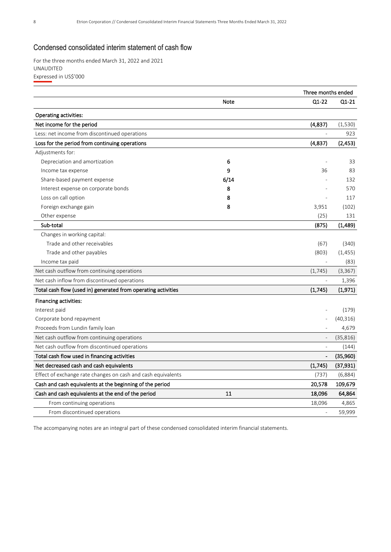#### Condensed consolidated interim statement of cash flow

For the three months ended March 31, 2022 and 2021 UNAUDITED Expressed in US\$'000

|                                                               |      | Three months ended       |           |
|---------------------------------------------------------------|------|--------------------------|-----------|
|                                                               | Note | $Q1-22$                  | Q1-21     |
| <b>Operating activities:</b>                                  |      |                          |           |
| Net income for the period                                     |      | (4,837)                  | (1,530)   |
| Less: net income from discontinued operations                 |      | L,                       | 923       |
| Loss for the period from continuing operations                |      | (4,837)                  | (2, 453)  |
| Adjustments for:                                              |      |                          |           |
| Depreciation and amortization                                 | 6    |                          | 33        |
| Income tax expense                                            | 9    | 36                       | 83        |
| Share-based payment expense                                   | 6/14 |                          | 132       |
| Interest expense on corporate bonds                           | 8    |                          | 570       |
| Loss on call option                                           | 8    |                          | 117       |
| Foreign exchange gain                                         | 8    | 3,951                    | (102)     |
| Other expense                                                 |      | (25)                     | 131       |
| Sub-total                                                     |      | (875)                    | (1,489)   |
| Changes in working capital:                                   |      |                          |           |
| Trade and other receivables                                   |      | (67)                     | (340)     |
| Trade and other payables                                      |      | (803)                    | (1, 455)  |
| Income tax paid                                               |      |                          | (83)      |
| Net cash outflow from continuing operations                   |      | (1, 745)                 | (3, 367)  |
| Net cash inflow from discontinued operations                  |      |                          | 1,396     |
| Total cash flow (used in) generated from operating activities |      | (1,745)                  | (1,971)   |
| Financing activities:                                         |      |                          |           |
| Interest paid                                                 |      |                          | (179)     |
| Corporate bond repayment                                      |      |                          | (40, 316) |
| Proceeds from Lundin family loan                              |      |                          | 4,679     |
| Net cash outflow from continuing operations                   |      | $\overline{\phantom{a}}$ | (35, 816) |
| Net cash outflow from discontinued operations                 |      | ÷                        | (144)     |
| Total cash flow used in financing activities                  |      |                          | (35,960)  |
| Net decreased cash and cash equivalents                       |      | (1,745)                  | (37, 931) |
| Effect of exchange rate changes on cash and cash equivalents  |      | (737)                    | (6,884)   |
| Cash and cash equivalents at the beginning of the period      |      | 20,578                   | 109,679   |
| Cash and cash equivalents at the end of the period            | 11   | 18,096                   | 64,864    |
| From continuing operations                                    |      | 18,096                   | 4,865     |
| From discontinued operations                                  |      |                          | 59,999    |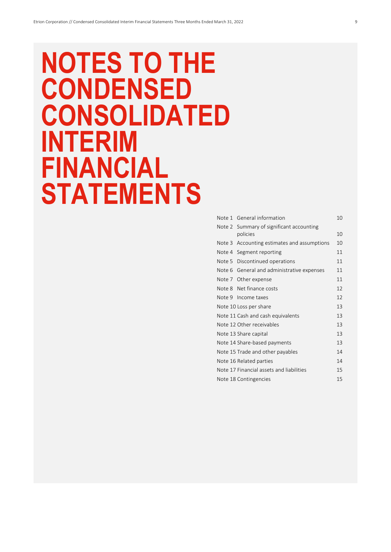## **NOTES TO THE CONDENSED CONSOLIDATED INTERIM FINANCIAL STATEMENTS**

|        | Note 1 General information                           | 10 |
|--------|------------------------------------------------------|----|
|        | Note 2 Summary of significant accounting<br>policies | 10 |
| Note 3 | Accounting estimates and assumptions                 | 10 |
|        | Note 4 Segment reporting                             | 11 |
|        | Note 5 Discontinued operations                       | 11 |
|        | Note 6 General and administrative expenses           | 11 |
|        | Note 7 Other expense                                 | 11 |
|        | Note 8 Net finance costs                             | 12 |
|        | Note 9 Income taxes                                  | 12 |
|        | Note 10 Loss per share                               | 13 |
|        | Note 11 Cash and cash equivalents                    | 13 |
|        | Note 12 Other receivables                            | 13 |
|        | Note 13 Share capital                                | 13 |
|        | Note 14 Share-based payments                         | 13 |
|        | Note 15 Trade and other payables                     | 14 |
|        | Note 16 Related parties                              | 14 |
|        | Note 17 Financial assets and liabilities             | 15 |
|        | Note 18 Contingencies                                | 15 |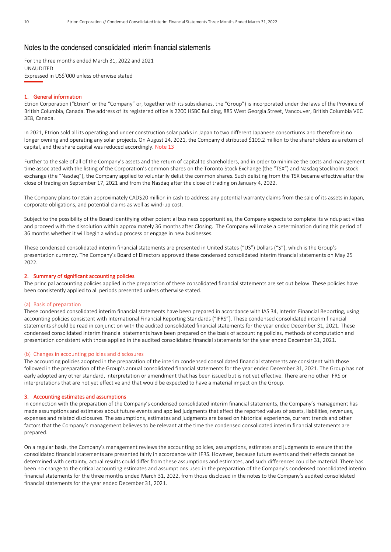#### Notes to the condensed consolidated interim financial statements

For the three months ended March 31, 2022 and 2021 UNAUDITED Expressed in US\$'000 unless otherwise stated

#### 1. General information

Etrion Corporation ("Etrion" or the "Company" or, together with its subsidiaries, the "Group") is incorporated under the laws of the Province of British Columbia, Canada. The address of its registered office is 2200 HSBC Building, 885 West Georgia Street, Vancouver, British Columbia V6C 3E8, Canada.

In 2021, Etrion sold all its operating and under construction solar parks in Japan to two different Japanese consortiums and therefore is no longer owning and operating any solar projects. On August 24, 2021, the Company distributed \$109.2 million to the shareholders as a return of capital, and the share capital was reduced accordingly. Note 13

Further to the sale of all of the Company's assets and the return of capital to shareholders, and in order to minimize the costs and management time associated with the listing of the Corporation's common shares on the Toronto Stock Exchange (the "TSX") and Nasdaq Stockholm stock exchange (the "Nasdaq"), the Company applied to voluntarily delist the common shares. Such delisting from the TSX became effective after the close of trading on September 17, 2021 and from the Nasdaq after the close of trading on January 4, 2022.

The Company plans to retain approximately CAD\$20 million in cash to address any potential warranty claims from the sale of its assets in Japan, corporate obligations, and potential claims as well as wind-up cost.

Subject to the possibility of the Board identifying other potential business opportunities, the Company expects to complete its windup activities and proceed with the dissolution within approximately 36 months after Closing. The Company will make a determination during this period of 36 months whether it will begin a windup process or engage in new businesses.

These condensed consolidated interim financial statements are presented in United States ("US") Dollars ("\$"), which is the Group's presentation currency. The Company's Board of Directors approved these condensed consolidated interim financial statements on May 25 2022.

#### 2. Summary of significant accounting policies

The principal accounting policies applied in the preparation of these consolidated financial statements are set out below. These policies have been consistently applied to all periods presented unless otherwise stated.

#### (a) Basis of preparation

These condensed consolidated interim financial statements have been prepared in accordance with IAS 34, Interim Financial Reporting, using accounting policies consistent with International Financial Reporting Standards ("IFRS"). These condensed consolidated interim financial statements should be read in conjunction with the audited consolidated financial statements for the year ended December 31, 2021. These condensed consolidated interim financial statements have been prepared on the basis of accounting policies, methods of computation and presentation consistent with those applied in the audited consolidated financial statements for the year ended December 31, 2021.

#### (b) Changes in accounting policies and disclosures

The accounting policies adopted in the preparation of the interim condensed consolidated financial statements are consistent with those followed in the preparation of the Group's annual consolidated financial statements for the year ended December 31, 2021. The Group has not early adopted any other standard, interpretation or amendment that has been issued but is not yet effective. There are no other IFRS or interpretations that are not yet effective and that would be expected to have a material impact on the Group.

#### 3. Accounting estimates and assumptions

In connection with the preparation of the Company's condensed consolidated interim financial statements, the Company's management has made assumptions and estimates about future events and applied judgments that affect the reported values of assets, liabilities, revenues, expenses and related disclosures. The assumptions, estimates and judgments are based on historical experience, current trends and other factors that the Company's management believes to be relevant at the time the condensed consolidated interim financial statements are prepared.

On a regular basis, the Company's management reviews the accounting policies, assumptions, estimates and judgments to ensure that the consolidated financial statements are presented fairly in accordance with IFRS. However, because future events and their effects cannot be determined with certainty, actual results could differ from these assumptions and estimates, and such differences could be material. There has been no change to the critical accounting estimates and assumptions used in the preparation of the Company's condensed consolidated interim financial statements for the three months ended March 31, 2022, from those disclosed in the notes to the Company's audited consolidated financial statements for the year ended December 31, 2021.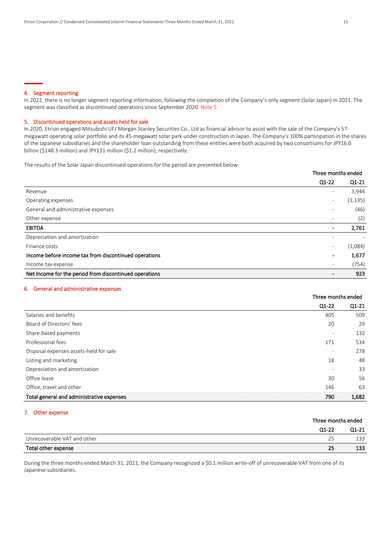#### 4. Segment reporting

In 2022, there is no longer segment reporting information, following the completion of the Company's only segment (Solar Japan) in 2021. The segment was classified as discontinued operations since September 2020. Note 5

#### 5. Discontinued operations and assets held for sale

In 2020, Etrion engaged Mitsubishi UFJ Morgan Stanley Securities Co., Ltd as financial advisor to assist with the sale of the Company's 57 megawatt operating solar portfolio and its 45-megawatt solar park under construction in Japan. The Company's 100% participation in the shares of the Japanese subsidiaries and the shareholder loan outstanding from these entities were both acquired by two consortiums for JPY16.0 billion (\$148.3 million) and JPY131 million (\$1.2 million), respectively.

The results of the Solar Japan discontinued operations for the period are presented below:

|                                                        | Three months ended       |          |
|--------------------------------------------------------|--------------------------|----------|
|                                                        | $Q1-22$                  | $Q1-21$  |
| Revenue                                                | ۰                        | 3,944    |
| Operating expenses                                     | $\overline{\phantom{a}}$ | (1, 135) |
| General and administrative expenses                    |                          | (46)     |
| Other expense                                          | $\overline{\phantom{a}}$ | (2)      |
| <b>EBITDA</b>                                          | $\blacksquare$           | 2,761    |
| Depreciation and amortization                          |                          |          |
| Finance costs                                          | $\overline{\phantom{a}}$ | (1,084)  |
| Income before income tax from discontinued operations  | $\blacksquare$           | 1,677    |
| Income tax expense                                     | $\overline{\phantom{a}}$ | (754)    |
| Net Income for the period from discontinued operations |                          | 923      |

#### 6. General and administrative expenses

|                                           |                          | Three months ended |
|-------------------------------------------|--------------------------|--------------------|
|                                           | Q1-22                    | $Q1-21$            |
| Salaries and benefits                     | 405                      | 509                |
| Board of Directors' fees                  | 20                       | 29                 |
| Share-based payments                      | ٠                        | 132                |
| Professional fees                         | 171                      | 534                |
| Disposal expenses assets-held for sale    | ٠                        | 278                |
| Listing and marketing                     | 18                       | 48                 |
| Depreciation and amortization             | $\overline{\phantom{0}}$ | 33                 |
| Office lease                              | 30                       | 56                 |
| Office, travel and other                  | 146                      | 63                 |
| Total general and administrative expenses | 790                      | 1.682              |

#### 7. Other expense

|                             |         | Three months ended |  |  |
|-----------------------------|---------|--------------------|--|--|
|                             | $Q1-22$ | $Q1-21$            |  |  |
| Unrecoverable VAT and other | 25      | 133                |  |  |
| Total other expense         | 25      | 133                |  |  |

During the three months ended March 31, 2021, the Company recognized a \$0.1 million write-off of unrecoverable VAT from one of its Japanese subsidiaries.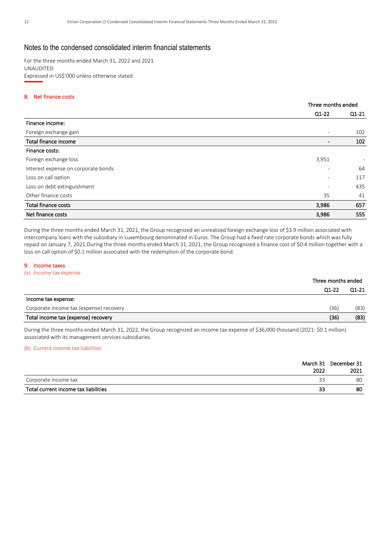#### Notes to the condensed consolidated interim financial statements

For the three months ended March 31, 2022 and 2021 UNAUDITED Expressed in US\$'000 unless otherwise stated

#### 8. Net finance costs

|                                     |                          | Three months ended       |  |
|-------------------------------------|--------------------------|--------------------------|--|
|                                     | $Q1-22$                  | Q1-21                    |  |
| Finance income:                     |                          |                          |  |
| Foreign exchange gain               | $\overline{\phantom{a}}$ | 102                      |  |
| Total finance income                | $\overline{\phantom{a}}$ | 102                      |  |
| Finance costs:                      |                          |                          |  |
| Foreign exchange loss               | 3,951                    | $\overline{\phantom{a}}$ |  |
| Interest expense on corporate bonds | $\overline{\phantom{a}}$ | 64                       |  |
| Loss on call option                 | $\overline{\phantom{a}}$ | 117                      |  |
| Loss on debt extinguishment         | $\overline{\phantom{a}}$ | 435                      |  |
| Other finance costs                 | 35                       | 41                       |  |
| <b>Total finance costs</b>          | 3,986                    | 657                      |  |
| Net finance costs                   | 3,986                    | 555                      |  |

During the three months ended March 31, 2021, the Group recognized an unrealized foreign exchange loss of \$3.9 million associated with intercompany loans with the subsidiary in Luxembourg denominated in Euros. The Group had a fixed rate corporate bonds which was fully repaid on January 7, 2021.During the three months ended March 31, 2021, the Group recognized a finance cost of \$0.4 million together with a loss on call option of \$0.1 million associated with the redemption of the corporate bond.

#### 9. Income taxes

(a) Income tax expense

|                                         | Three months ended |         |  |
|-----------------------------------------|--------------------|---------|--|
|                                         | Q1-22              | $Q1-21$ |  |
| Income tax expense:                     |                    |         |  |
| Corporate income tax (expense) recovery | (36)               | (83)    |  |
| Total income tax (expense) recovery     | (36)               | (83)    |  |

During the three months ended March 31, 2022, the Group recognized an income tax expense of \$36,000 thousand (2021: \$0.1 million) associated with its management services subsidiaries.

#### (b) Current income tax liabilities

|                                      |      | March 31 December 31 |
|--------------------------------------|------|----------------------|
|                                      | 2022 | 2021                 |
| Corporate income tax                 | 33   | 80                   |
| Total current income tax liabilities | 33   | 80                   |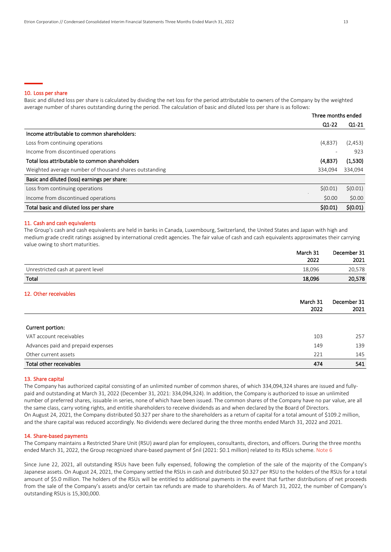#### 10. Loss per share

Basic and diluted loss per share is calculated by dividing the net loss for the period attributable to owners of the Company by the weighted average number of shares outstanding during the period. The calculation of basic and diluted loss per share is as follows:

|                                                        | Three months ended       |               |
|--------------------------------------------------------|--------------------------|---------------|
|                                                        | $Q1-22$                  | $Q1-21$       |
| Income attributable to common shareholders:            |                          |               |
| Loss from continuing operations                        | (4,837)                  | (2, 453)      |
| Income from discontinued operations                    | $\overline{\phantom{0}}$ | 923           |
| Total loss attributable to common shareholders         | (4,837)                  | (1,530)       |
| Weighted average number of thousand shares outstanding | 334,094                  | 334,094       |
| Basic and diluted (loss) earnings per share:           |                          |               |
| Loss from continuing operations                        | \$(0.01)                 | $\zeta(0.01)$ |
| Income from discontinued operations                    | \$0.00                   | \$0.00        |
| Total basic and diluted loss per share                 | \$(0.01)                 | \$(0.01)      |

#### 11. Cash and cash equivalents

The Group's cash and cash equivalents are held in banks in Canada, Luxembourg, Switzerland, the United States and Japan with high and medium grade credit ratings assigned by international credit agencies. The fair value of cash and cash equivalents approximates their carrying value owing to short maturities.

|                                    | March 31<br>2022 | December 31<br>2021 |
|------------------------------------|------------------|---------------------|
| Unrestricted cash at parent level  | 18,096           | 20,578              |
| Total                              | 18,096           | 20,578              |
| 12. Other receivables              |                  |                     |
|                                    | March 31<br>2022 | December 31<br>2021 |
|                                    |                  |                     |
| Current portion:                   |                  |                     |
| VAT account receivables            | 103              | 257                 |
| Advances paid and prepaid expenses | 149              | 139                 |

| Other current assets | $\sim$ $\sim$ | 14 <sup>5</sup> |
|----------------------|---------------|-----------------|
|                      |               |                 |

#### Total other receivables 474 541

#### 13. Share capital

The Company has authorized capital consisting of an unlimited number of common shares, of which 334,094,324 shares are issued and fullypaid and outstanding at March 31, 2022 (December 31, 2021: 334,094,324). In addition, the Company is authorized to issue an unlimited number of preferred shares, issuable in series, none of which have been issued. The common shares of the Company have no par value, are all the same class, carry voting rights, and entitle shareholders to receive dividends as and when declared by the Board of Directors. On August 24, 2021, the Company distributed \$0.327 per share to the shareholders as a return of capital for a total amount of \$109.2 million, and the share capital was reduced accordingly. No dividends were declared during the three months ended March 31, 2022 and 2021.

#### 14. Share-based payments

The Company maintains a Restricted Share Unit (RSU) award plan for employees, consultants, directors, and officers. During the three months ended March 31, 2022, the Group recognized share-based payment of \$nil (2021: \$0.1 million) related to its RSUs scheme. Note 6

Since June 22, 2021, all outstanding RSUs have been fully expensed, following the completion of the sale of the majority of the Company's Japanese assets. On August 24, 2021, the Company settled the RSUs in cash and distributed \$0.327 per RSU to the holders of the RSUs for a total amount of \$5.0 million. The holders of the RSUs will be entitled to additional payments in the event that further distributions of net proceeds from the sale of the Company's assets and/or certain tax refunds are made to shareholders. As of March 31, 2022, the number of Company's outstanding RSUs is 15,300,000.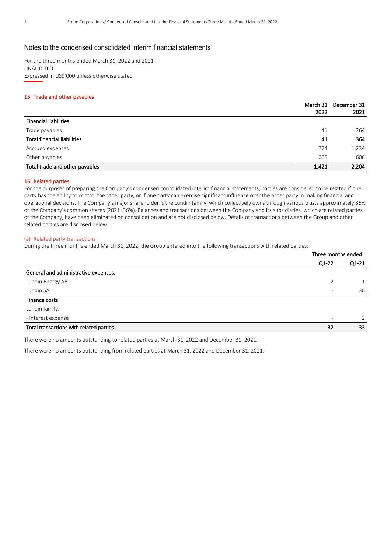#### Notes to the condensed consolidated interim financial statements

For the three months ended March 31, 2022 and 2021 UNAUDITED Expressed in US\$'000 unless otherwise stated

#### 15. Trade and other payables

|                                    | March 31 | December 31 |
|------------------------------------|----------|-------------|
|                                    | 2022     | 2021        |
| <b>Financial liabilities</b>       |          |             |
| Trade payables                     | 41       | 364         |
| <b>Total financial liabilities</b> | 41       | 364         |
| Accrued expenses                   | 774      | 1,234       |
| Other payables                     | 605      | 606         |
| Total trade and other payables     | 1,421    | 2,204       |

#### 16. Related parties

For the purposes of preparing the Company's condensed consolidated interim financial statements, parties are considered to be related if one party has the ability to control the other party, or if one party can exercise significant influence over the other party in making financial and operational decisions. The Company's major shareholder is the Lundin family, which collectively owns through various trusts approximately 36% of the Company's common shares (2021: 36%). Balances and transactions between the Company and its subsidiaries, which are related parties of the Company, have been eliminated on consolidation and are not disclosed below. Details of transactions between the Group and other related parties are disclosed below.

#### (a) Related party transactions

During the three months ended March 31, 2022, the Group entered into the following transactions with related parties:

|                                         | Three months ended       |         |
|-----------------------------------------|--------------------------|---------|
|                                         | Q1-22                    | $Q1-21$ |
| General and administrative expenses:    |                          |         |
| Lundin Energy AB                        |                          |         |
| Lundin SA                               | ۰                        | 30      |
| Finance costs                           |                          |         |
| Lundin family:                          |                          |         |
| - Interest expense                      | $\overline{\phantom{a}}$ | 2       |
| Total transactions with related parties | 32                       | 33      |
|                                         |                          |         |

There were no amounts outstanding to related parties at March 31, 2022 and December 31, 2021.

There were no amounts outstanding from related parties at March 31, 2022 and December 31, 2021.